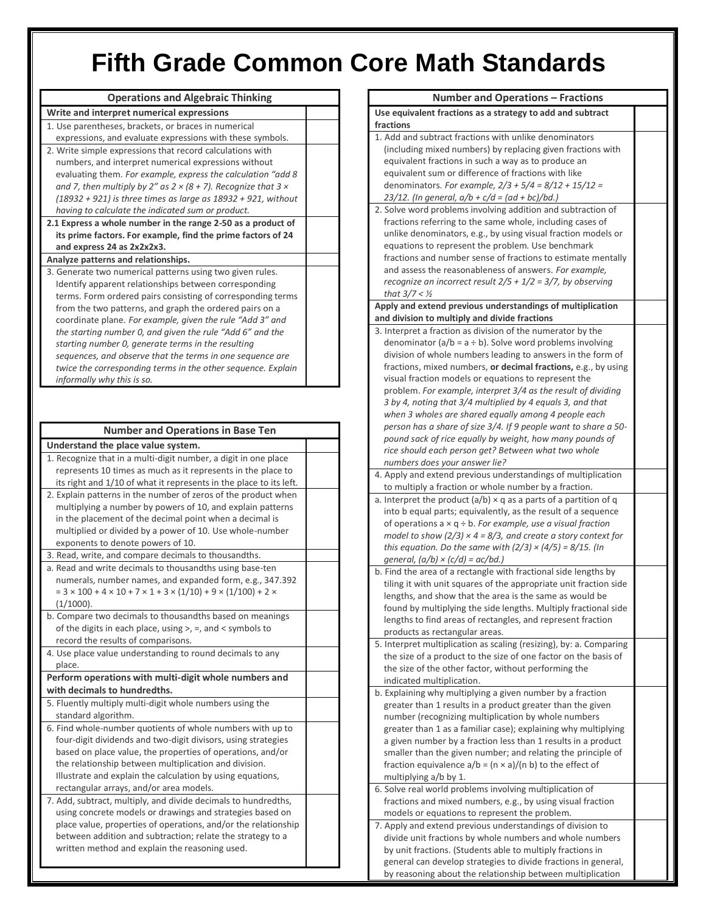## **Fifth Grade Common Core Math Standards**

| <b>Operations and Algebraic Thinking</b>                                                                                        |  |
|---------------------------------------------------------------------------------------------------------------------------------|--|
| Write and interpret numerical expressions                                                                                       |  |
| 1. Use parentheses, brackets, or braces in numerical                                                                            |  |
| expressions, and evaluate expressions with these symbols.                                                                       |  |
| 2. Write simple expressions that record calculations with                                                                       |  |
| numbers, and interpret numerical expressions without                                                                            |  |
| evaluating them. For example, express the calculation "add 8                                                                    |  |
| and 7, then multiply by 2" as $2 \times (8 + 7)$ . Recognize that 3 $\times$                                                    |  |
| $(18932 + 921)$ is three times as large as $18932 + 921$ , without                                                              |  |
| having to calculate the indicated sum or product.                                                                               |  |
| 2.1 Express a whole number in the range 2-50 as a product of                                                                    |  |
| its prime factors. For example, find the prime factors of 24<br>and express 24 as 2x2x2x3.                                      |  |
|                                                                                                                                 |  |
| Analyze patterns and relationships.<br>3. Generate two numerical patterns using two given rules.                                |  |
| Identify apparent relationships between corresponding                                                                           |  |
| terms. Form ordered pairs consisting of corresponding terms                                                                     |  |
| from the two patterns, and graph the ordered pairs on a                                                                         |  |
| coordinate plane. For example, given the rule "Add 3" and                                                                       |  |
| the starting number 0, and given the rule "Add 6" and the                                                                       |  |
| starting number 0, generate terms in the resulting                                                                              |  |
| sequences, and observe that the terms in one sequence are                                                                       |  |
| twice the corresponding terms in the other sequence. Explain                                                                    |  |
| informally why this is so.                                                                                                      |  |
|                                                                                                                                 |  |
|                                                                                                                                 |  |
| <b>Number and Operations in Base Ten</b>                                                                                        |  |
|                                                                                                                                 |  |
| Understand the place value system.                                                                                              |  |
| 1. Recognize that in a multi-digit number, a digit in one place<br>represents 10 times as much as it represents in the place to |  |
| its right and 1/10 of what it represents in the place to its left.                                                              |  |
| 2. Explain patterns in the number of zeros of the product when                                                                  |  |
| multiplying a number by powers of 10, and explain patterns                                                                      |  |
| in the placement of the decimal point when a decimal is                                                                         |  |
| multiplied or divided by a power of 10. Use whole-number                                                                        |  |
| exponents to denote powers of 10.                                                                                               |  |
| 3. Read, write, and compare decimals to thousandths.                                                                            |  |
| a. Read and write decimals to thousandths using base-ten                                                                        |  |
| numerals, number names, and expanded form, e.g., 347.392                                                                        |  |
| $= 3 \times 100 + 4 \times 10 + 7 \times 1 + 3 \times (1/10) + 9 \times (1/100) + 2 \times$                                     |  |
| (1/1000).                                                                                                                       |  |
| b. Compare two decimals to thousandths based on meanings                                                                        |  |
| of the digits in each place, using $>$ , $=$ , and $\lt$ symbols to                                                             |  |
| record the results of comparisons.                                                                                              |  |
| 4. Use place value understanding to round decimals to any                                                                       |  |
| place.                                                                                                                          |  |
| Perform operations with multi-digit whole numbers and                                                                           |  |
| with decimals to hundredths.                                                                                                    |  |
| 5. Fluently multiply multi-digit whole numbers using the                                                                        |  |
| standard algorithm.                                                                                                             |  |
| 6. Find whole-number quotients of whole numbers with up to                                                                      |  |
| four-digit dividends and two-digit divisors, using strategies                                                                   |  |
| based on place value, the properties of operations, and/or                                                                      |  |
| the relationship between multiplication and division.                                                                           |  |
| Illustrate and explain the calculation by using equations,                                                                      |  |
| rectangular arrays, and/or area models.                                                                                         |  |
| 7. Add, subtract, multiply, and divide decimals to hundredths,                                                                  |  |
| using concrete models or drawings and strategies based on                                                                       |  |
| place value, properties of operations, and/or the relationship                                                                  |  |
| between addition and subtraction; relate the strategy to a                                                                      |  |
| written method and explain the reasoning used.                                                                                  |  |

| Number and Operations – Fractions                                        |  |
|--------------------------------------------------------------------------|--|
| Use equivalent fractions as a strategy to add and subtract               |  |
| fractions                                                                |  |
| 1. Add and subtract fractions with unlike denominators                   |  |
| (including mixed numbers) by replacing given fractions with              |  |
| equivalent fractions in such a way as to produce an                      |  |
| equivalent sum or difference of fractions with like                      |  |
| denominators. For example, $2/3 + 5/4 = 8/12 + 15/12 =$                  |  |
| 23/12. (In general, $a/b + c/d = (ad + bc)/bd.$ )                        |  |
| 2. Solve word problems involving addition and subtraction of             |  |
| fractions referring to the same whole, including cases of                |  |
| unlike denominators, e.g., by using visual fraction models or            |  |
| equations to represent the problem. Use benchmark                        |  |
| fractions and number sense of fractions to estimate mentally             |  |
| and assess the reasonableness of answers. For example,                   |  |
| recognize an incorrect result $2/5 + 1/2 = 3/7$ , by observing           |  |
| that $3/7 <$ 1/2                                                         |  |
| Apply and extend previous understandings of multiplication               |  |
| and division to multiply and divide fractions                            |  |
| 3. Interpret a fraction as division of the numerator by the              |  |
| denominator $(a/b = a \div b)$ . Solve word problems involving           |  |
| division of whole numbers leading to answers in the form of              |  |
| fractions, mixed numbers, or decimal fractions, e.g., by using           |  |
| visual fraction models or equations to represent the                     |  |
| problem. For example, interpret 3/4 as the result of dividing            |  |
| 3 by 4, noting that 3/4 multiplied by 4 equals 3, and that               |  |
| when 3 wholes are shared equally among 4 people each                     |  |
| person has a share of size 3/4. If 9 people want to share a 50-          |  |
| pound sack of rice equally by weight, how many pounds of                 |  |
| rice should each person get? Between what two whole                      |  |
| numbers does your answer lie?                                            |  |
| 4. Apply and extend previous understandings of multiplication            |  |
| to multiply a fraction or whole number by a fraction.                    |  |
| a. Interpret the product $(a/b) \times q$ as a parts of a partition of q |  |
| into b equal parts; equivalently, as the result of a sequence            |  |
| of operations $a \times q \div b$ . For example, use a visual fraction   |  |
| model to show (2/3) $\times$ 4 = 8/3, and create a story context for     |  |
| this equation. Do the same with $(2/3) \times (4/5) = 8/15$ . (In        |  |
| general, $(a/b) \times (c/d) = ac/bd$ .)                                 |  |
| b. Find the area of a rectangle with fractional side lengths by          |  |
| tiling it with unit squares of the appropriate unit fraction side        |  |
| lengths, and show that the area is the same as would be                  |  |
| found by multiplying the side lengths. Multiply fractional side          |  |
| lengths to find areas of rectangles, and represent fraction              |  |
| products as rectangular areas.                                           |  |
| 5. Interpret multiplication as scaling (resizing), by: a. Comparing      |  |
| the size of a product to the size of one factor on the basis of          |  |
| the size of the other factor, without performing the                     |  |
| indicated multiplication.                                                |  |
| b. Explaining why multiplying a given number by a fraction               |  |
| greater than 1 results in a product greater than the given               |  |
| number (recognizing multiplication by whole numbers                      |  |
| greater than 1 as a familiar case); explaining why multiplying           |  |
| a given number by a fraction less than 1 results in a product            |  |
| smaller than the given number; and relating the principle of             |  |
| fraction equivalence $a/b = (n \times a)/(n b)$ to the effect of         |  |
| multiplying a/b by 1.                                                    |  |
| 6. Solve real world problems involving multiplication of                 |  |
|                                                                          |  |
| fractions and mixed numbers, e.g., by using visual fraction              |  |
| models or equations to represent the problem.                            |  |
| 7. Apply and extend previous understandings of division to               |  |
| divide unit fractions by whole numbers and whole numbers                 |  |
| by unit fractions. (Students able to multiply fractions in               |  |
| general can develop strategies to divide fractions in general,           |  |
| by reasoning about the relationship between multiplication               |  |